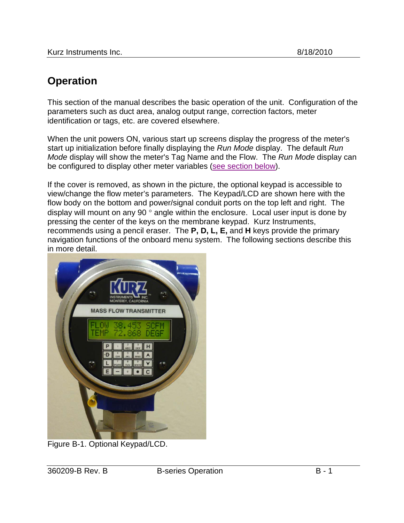# **Operation**

This section of the manual describes the basic operation of the unit. Configuration of the parameters such as duct area, analog output range, correction factors, meter identification or tags, etc. are covered elsewhere.

When the unit powers ON, various start up screens display the progress of the meter's start up initialization before finally displaying the *Run Mode* display. The default *Run Mode* display will show the meter's Tag Name and the Flow. The *Run Mode* display can be configured to display other meter variables [\(see section below\)](#page-9-0).

If the cover is removed, as shown in the picture, the optional keypad is accessible to view/change the flow meter's parameters. The Keypad/LCD are shown here with the flow body on the bottom and power/signal conduit ports on the top left and right. The display will mount on any 90 ° angle within the enclosure. Local user input is done by pressing the center of the keys on the membrane keypad. Kurz Instruments, recommends using a pencil eraser. The **P, D, L, E,** and **H** keys provide the primary navigation functions of the onboard menu system. The following sections describe this in more detail.



Figure B-1. Optional Keypad/LCD.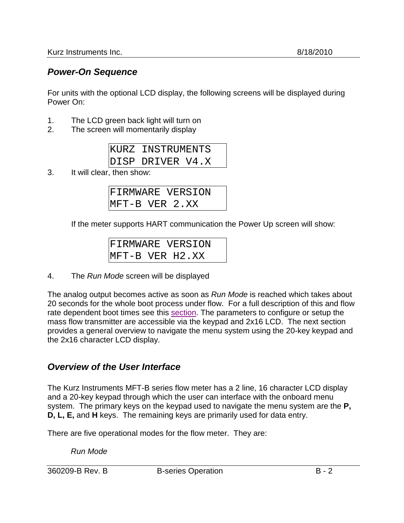### *Power-On Sequence*

For units with the optional LCD display, the following screens will be displayed during Power On:

- 1. The LCD green back light will turn on
- 2. The screen will momentarily display

| KURZ INSTRUMENTS |  |
|------------------|--|
| DISP DRIVER V4.X |  |

3. It will clear, then show:

| <b>FIRMWARE VERSION</b> |  |  |
|-------------------------|--|--|
| MFT-B VER 2.XX          |  |  |

If the meter supports HART communication the Power Up screen will show:

|  | <b>FIRMWARE VERSION</b> |
|--|-------------------------|
|  | MFT-B VER H2.XX         |

4. The *Run Mode* screen will be displayed

The analog output becomes active as soon as *Run Mode* is reached which takes about 20 seconds for the whole boot process under flow. For a full description of this and flow rate dependent boot times see this section. The parameters to configure or setup the mass flow transmitter are accessible via the keypad and 2x16 LCD. The next section provides a general overview to navigate the menu system using the 20-key keypad and the 2x16 character LCD display.

#### *Overview of the User Interface*

The Kurz Instruments MFT-B series flow meter has a 2 line, 16 character LCD display and a 20-key keypad through which the user can interface with the onboard menu system. The primary keys on the keypad used to navigate the menu system are the **P, D, L, E,** and **H** keys. The remaining keys are primarily used for data entry.

There are five operational modes for the flow meter. They are:

*Run Mode*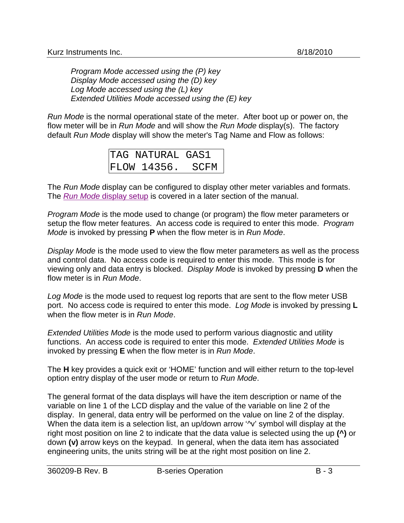*Program Mode accessed using the (P) key Display Mode accessed using the (D) key Log Mode accessed using the (L) key Extended Utilities Mode accessed using the (E) key*

*Run Mode* is the normal operational state of the meter. After boot up or power on, the flow meter will be in *Run Mode* and will show the *Run Mode* display(s). The factory default *Run Mode* display will show the meter's Tag Name and Flow as follows:

| TAG NATURAL GAS1 |             |
|------------------|-------------|
| FLOW 14356.      | <b>SCFM</b> |

The *Run Mode* display can be configured to display other meter variables and formats. The *[Run Mode](#page-9-0)* display setup is covered in a later section of the manual.

*Program Mode* is the mode used to change (or program) the flow meter parameters or setup the flow meter features. An access code is required to enter this mode. *Program Mode* is invoked by pressing **P** when the flow meter is in *Run Mode*.

*Display Mode* is the mode used to view the flow meter parameters as well as the process and control data. No access code is required to enter this mode. This mode is for viewing only and data entry is blocked. *Display Mode* is invoked by pressing **D** when the flow meter is in *Run Mode*.

*Log Mode* is the mode used to request log reports that are sent to the flow meter USB port. No access code is required to enter this mode. *Log Mode* is invoked by pressing **L** when the flow meter is in *Run Mode*.

*Extended Utilities Mode* is the mode used to perform various diagnostic and utility functions. An access code is required to enter this mode. *Extended Utilities Mode* is invoked by pressing **E** when the flow meter is in *Run Mode*.

The **H** key provides a quick exit or 'HOME' function and will either return to the top-level option entry display of the user mode or return to *Run Mode*.

The general format of the data displays will have the item description or name of the variable on line 1 of the LCD display and the value of the variable on line 2 of the display. In general, data entry will be performed on the value on line 2 of the display. When the data item is a selection list, an up/down arrow '<sup>^</sup>v' symbol will display at the right most position on line 2 to indicate that the data value is selected using the up **(^)** or down **(v)** arrow keys on the keypad. In general, when the data item has associated engineering units, the units string will be at the right most position on line 2.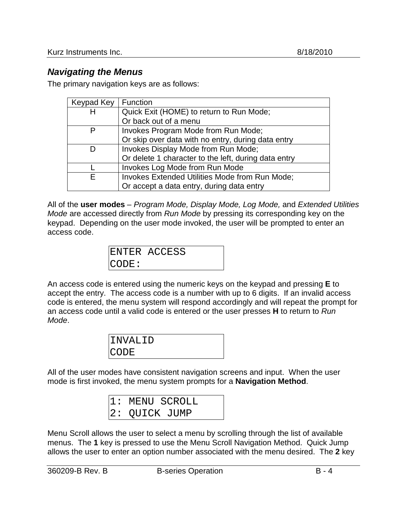### *Navigating the Menus*

The primary navigation keys are as follows:

| Keypad Key | <b>Function</b>                                       |
|------------|-------------------------------------------------------|
| н          | Quick Exit (HOME) to return to Run Mode;              |
|            | Or back out of a menu                                 |
|            | Invokes Program Mode from Run Mode;                   |
|            | Or skip over data with no entry, during data entry    |
|            | Invokes Display Mode from Run Mode;                   |
|            | Or delete 1 character to the left, during data entry  |
|            | Invokes Log Mode from Run Mode                        |
| F          | <b>Invokes Extended Utilities Mode from Run Mode;</b> |
|            | Or accept a data entry, during data entry             |

All of the **user modes** – *Program Mode, Display Mode, Log Mode,* and *Extended Utilities Mode* are accessed directly from *Run Mode* by pressing its corresponding key on the keypad. Depending on the user mode invoked, the user will be prompted to enter an access code.

|       | ENTER ACCESS |
|-------|--------------|
| CODE: |              |

An access code is entered using the numeric keys on the keypad and pressing **E** to accept the entry. The access code is a number with up to 6 digits. If an invalid access code is entered, the menu system will respond accordingly and will repeat the prompt for an access code until a valid code is entered or the user presses **H** to return to *Run Mode*.

| IINVALID    |  |
|-------------|--|
| <b>CODE</b> |  |

All of the user modes have consistent navigation screens and input. When the user mode is first invoked, the menu system prompts for a **Navigation Method**.

| 1: MENU SCROLL |  |
|----------------|--|
| 2: QUICK JUMP  |  |

Menu Scroll allows the user to select a menu by scrolling through the list of available menus. The **1** key is pressed to use the Menu Scroll Navigation Method. Quick Jump allows the user to enter an option number associated with the menu desired. The **2** key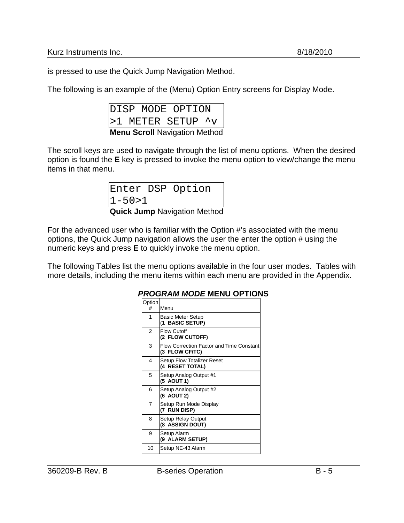is pressed to use the Quick Jump Navigation Method.

The following is an example of the (Menu) Option Entry screens for Display Mode.

|  |  | <b>Menu Scroll Navigation Method</b> |  |
|--|--|--------------------------------------|--|
|  |  | >1 METER SETUP ^v                    |  |
|  |  | DISP MODE OPTION                     |  |

The scroll keys are used to navigate through the list of menu options. When the desired option is found the **E** key is pressed to invoke the menu option to view/change the menu items in that menu.

| <b>Quick Jump Navigation Method</b> |  |                  |  |
|-------------------------------------|--|------------------|--|
| $1 - 50 > 1$                        |  |                  |  |
|                                     |  | Enter DSP Option |  |

For the advanced user who is familiar with the Option #'s associated with the menu options, the Quick Jump navigation allows the user the enter the option # using the numeric keys and press **E** to quickly invoke the menu option.

The following Tables list the menu options available in the four user modes. Tables with more details, including the menu items within each menu are provided in the Appendix.

|             | <u>YAM MUDL MENU UT</u><br>'''                             |
|-------------|------------------------------------------------------------|
| Option<br># | Menu                                                       |
| 1           | <b>Basic Meter Setup</b><br>(1 BASIC SETUP)                |
| 2           | <b>Flow Cutoff</b><br>(2 FLOW CUTOFF)                      |
| 3           | Flow Correction Factor and Time Constant<br>(3 FLOW CF/TC) |
| 4           | Setup Flow Totalizer Reset<br>(4 RESET TOTAL)              |
| 5           | Setup Analog Output #1<br>(5 AOUT 1)                       |
| 6           | Setup Analog Output #2<br>(6 AOUT 2)                       |
| 7           | Setup Run Mode Display<br>(7 RUN DISP)                     |
| 8           | Setup Relay Output<br>(8 ASSIGN DOUT)                      |
| 9           | Setup Alarm<br>(9 ALARM SETUP)                             |
| 10          | Setup NE-43 Alarm                                          |

#### *PROGRAM MODE* **MENU OPTIONS**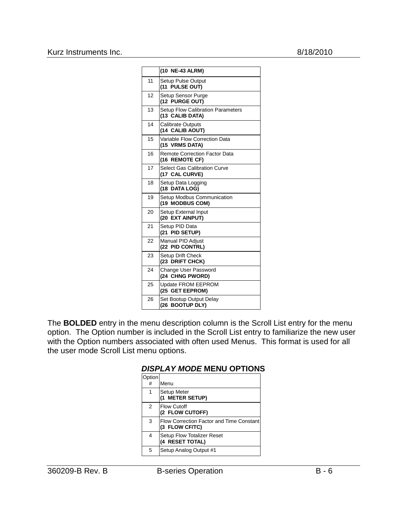|    | (10 NE-43 ALRM)                                             |
|----|-------------------------------------------------------------|
| 11 | <b>Setup Pulse Output</b><br>(11 PULSE OUT)                 |
| 12 | Setup Sensor Purge<br>(12 PURGE OUT)                        |
| 13 | <b>Setup Flow Calibration Parameters</b><br>(13 CALIB DATA) |
| 14 | <b>Calibrate Outputs</b><br>(14 CALIB AOUT)                 |
| 15 | Variable Flow Correction Data<br>(15 VRMS DATA)             |
| 16 | <b>Remote Correction Factor Data</b><br>(16 REMOTE CF)      |
| 17 | <b>Select Gas Calibration Curve</b><br>(17 CAL CURVE)       |
| 18 | Setup Data Logging<br>(18 DATA LOG)                         |
| 19 | Setup Modbus Communication<br>(19 MODBUS COM)               |
| 20 | Setup External Input<br>(20 EXT AINPUT)                     |
| 21 | Setup PID Data<br>(21 PID SETUP)                            |
| 22 | Manual PID Adjust<br>(22 PID CONTRL)                        |
| 23 | Setup Drift Check<br>(23 DRIFT CHCK)                        |
| 24 | Change User Password<br>(24 CHNG PWORD)                     |
| 25 | Update FROM EEPROM<br>(25 GET EEPROM)                       |
| 26 | Set Bootup Output Delay<br>(26 BOOTUP DLY)                  |

The **BOLDED** entry in the menu description column is the Scroll List entry for the menu option. The Option number is included in the Scroll List entry to familiarize the new user with the Option numbers associated with often used Menus. This format is used for all the user mode Scroll List menu options.

| <b>DISPLAY MODE MENU OPTIONS</b> |  |  |
|----------------------------------|--|--|
|                                  |  |  |

| Option |                                                            |
|--------|------------------------------------------------------------|
| #      | Menu                                                       |
| 1      | Setup Meter<br>(1 METER SETUP)                             |
| 2      | <b>Flow Cutoff</b><br>(2 FLOW CUTOFF)                      |
| 3      | Flow Correction Factor and Time Constant<br>(3 FLOW CF/TC) |
| 4      | Setup Flow Totalizer Reset<br>(4 RESET TOTAL)              |
| 5      | Setup Analog Output #1                                     |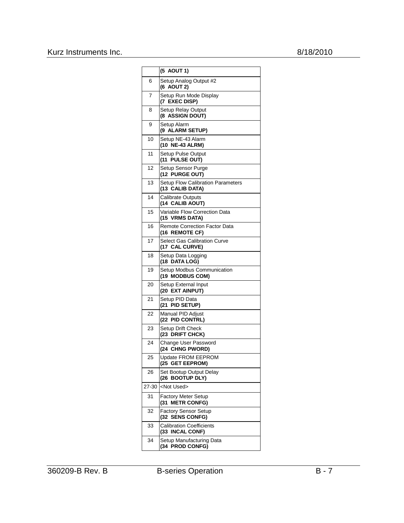#### Kurz Instruments Inc. 8/18/2010

|       | (5 AOUT 1)                                              |
|-------|---------------------------------------------------------|
| 6     | Setup Analog Output #2                                  |
|       | (6 AOUT 2)                                              |
| 7     | Setup Run Mode Display<br>(7 EXEC DISP)                 |
| 8     | Setup Relay Output<br>(8 ASSIGN DOUT)                   |
| 9     | Setup Alarm<br>(9 ALARM SETUP)                          |
| 10    | Setup NE-43 Alarm<br>(10 NE-43 ALRM)                    |
| 11    | Setup Pulse Output<br>(11 PULSE OUT)                    |
| 12    | Setup Sensor Purge<br>(12 PURGE OUT)                    |
| 13    | Setup Flow Calibration Parameters<br>(13 CALIB DATA)    |
| 14    | <b>Calibrate Outputs</b><br>(14 CALIB AOUT)             |
| 15    | Variable Flow Correction Data<br>(15 VRMS DATA)         |
| 16    | <b>Remote Correction Factor Data</b><br>(16 REMOTE CF)  |
| 17    | <b>Select Gas Calibration Curve</b><br>(17 CAL CURVE)   |
| 18    | Setup Data Logging<br>(18 DATA LOG)                     |
| 19    | Setup Modbus Communication<br>(19 MODBUS COM)           |
| 20    | Setup External Input<br>(20 EXT AINPUT)                 |
| 21    | Setup PID Data<br>(21<br>PID SETUP)                     |
| 22    | Manual PID Adjust<br>(22 PID CONTRL)                    |
| 23    | Setup Drift Check<br>(23 DRIFT CHCK)                    |
| 24    | Change User Password<br>(24 CHNG PWORD)                 |
| 25    | Update FROM EEPROM<br>(25 GET EEPROM)                   |
| 26    | Set Bootup Output Delay<br>(26 BOOTUP DLY)              |
| 27-30 | <not used=""></not>                                     |
| 31    | <b>Factory Meter Setup</b><br><b>METR CONFG)</b><br>(31 |
| 32    | <b>Factory Sensor Setup</b><br>(32 SENS CONFG)          |
| 33    | <b>Calibration Coefficients</b><br>(33 INCAL CONF)      |
| 34    | Setup Manufacturing Data<br>(34 PROD CONFG)             |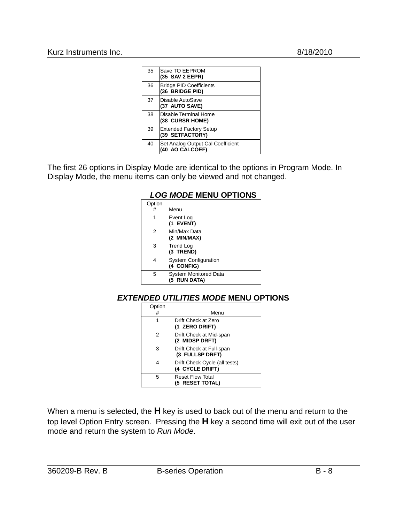| 35 | Save TO EEPROM<br>(35 SAV 2 EEPR)                    |
|----|------------------------------------------------------|
| 36 | <b>Bridge PID Coefficients</b><br>(36 BRIDGE PID)    |
| 37 | Disable AutoSave<br>(37 AUTO SAVE)                   |
| 38 | Disable Terminal Home<br>(38 CURSR HOME)             |
| 39 | <b>Extended Factory Setup</b><br>(39 SETFACTORY)     |
| 40 | Set Analog Output Cal Coefficient<br>(40 AO CALCOEF) |

The first 26 options in Display Mode are identical to the options in Program Mode. In Display Mode, the menu items can only be viewed and not changed.

#### *LOG MODE* **MENU OPTIONS**

| Option<br># | Menu                                         |
|-------------|----------------------------------------------|
| 1           | Event Log<br>(1 EVENT)                       |
| 2           | Min/Max Data<br>(2 MIN/MAX)                  |
| 3           | <b>Trend Log</b><br>(3 TREND)                |
| 4           | System Configuration<br>(4 CONFIG)           |
| 5           | <b>System Monitored Data</b><br>(5 RUN DATA) |

#### *EXTENDED UTILITIES MODE* **MENU OPTIONS**

| Option |                                                  |
|--------|--------------------------------------------------|
| #      | Menu                                             |
| 1      | Drift Check at Zero<br>(1 ZERO DRIFT)            |
| 2      | Drift Check at Mid-span<br>(2 MIDSP DRFT)        |
| 3      | Drift Check at Full-span<br>(3 FULLSP DRFT)      |
| 4      | Drift Check Cycle (all tests)<br>(4 CYCLE DRIFT) |
| 5      | <b>Reset Flow Total</b><br>(5 RESET TOTAL)       |

When a menu is selected, the **H** key is used to back out of the menu and return to the top level Option Entry screen. Pressing the **H** key a second time will exit out of the user mode and return the system to *Run Mode*.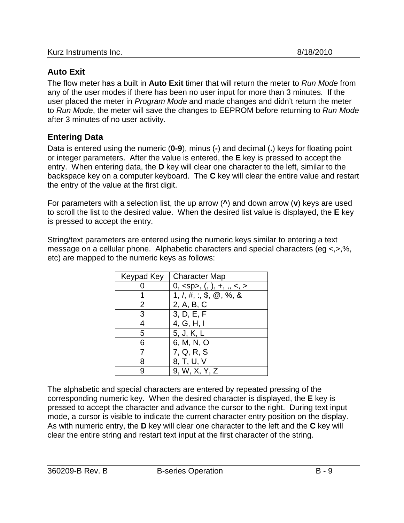## **Auto Exit**

The flow meter has a built in **Auto Exit** timer that will return the meter to *Run Mode* from any of the user modes if there has been no user input for more than 3 minutes. If the user placed the meter in *Program Mode* and made changes and didn't return the meter to *Run Mode*, the meter will save the changes to EEPROM before returning to *Run Mode* after 3 minutes of no user activity.

### **Entering Data**

Data is entered using the numeric (**0-9**), minus (**-**) and decimal (**.**) keys for floating point or integer parameters. After the value is entered, the **E** key is pressed to accept the entry. When entering data, the **D** key will clear one character to the left, similar to the backspace key on a computer keyboard. The **C** key will clear the entire value and restart the entry of the value at the first digit.

For parameters with a selection list, the up arrow (**^**) and down arrow (**v**) keys are used to scroll the list to the desired value. When the desired list value is displayed, the **E** key is pressed to accept the entry.

String/text parameters are entered using the numeric keys similar to entering a text message on a cellular phone. Alphabetic characters and special characters (eg <,>,%, etc) are mapped to the numeric keys as follows:

| Keypad Key | <b>Character Map</b>   |
|------------|------------------------|
|            | $0, , (, ), +, , < s$  |
|            | 1, 7, 4, 3, 6, 6, 7, 8 |
| 2          | 2, A, B, C             |
| 3          | 3, D, E, F             |
|            | 4, G, H, I             |
| 5          | 5, J, K, L             |
| 6          | 6, M, N, O             |
|            | 7, Q, R, S             |
|            | 8, T, U, V             |
|            | 9, W, X, Y, Z          |

The alphabetic and special characters are entered by repeated pressing of the corresponding numeric key. When the desired character is displayed, the **E** key is pressed to accept the character and advance the cursor to the right. During text input mode, a cursor is visible to indicate the current character entry position on the display. As with numeric entry, the **D** key will clear one character to the left and the **C** key will clear the entire string and restart text input at the first character of the string.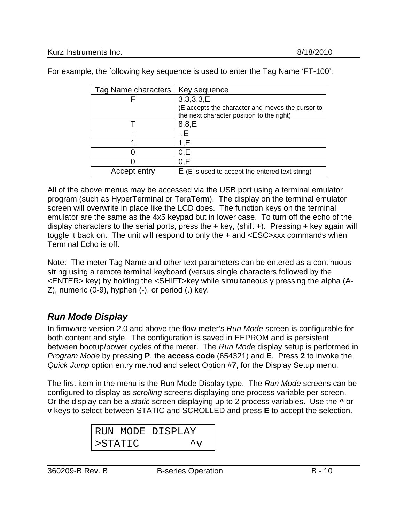| Tag Name characters | Key sequence                                      |
|---------------------|---------------------------------------------------|
|                     | 3,3,3,3, E                                        |
|                     | (E accepts the character and moves the cursor to  |
|                     | the next character position to the right)         |
|                     | 8,8,E                                             |
|                     |                                                   |
|                     | 1.E                                               |
|                     | 0.E                                               |
|                     | 0.E                                               |
| Accept entry        | $E(E)$ is used to accept the entered text string) |
|                     |                                                   |

For example, the following key sequence is used to enter the Tag Name 'FT-100':

All of the above menus may be accessed via the USB port using a terminal emulator program (such as HyperTerminal or TeraTerm). The display on the terminal emulator screen will overwrite in place like the LCD does. The function keys on the terminal emulator are the same as the 4x5 keypad but in lower case. To turn off the echo of the display characters to the serial ports, press the **+** key, (shift +). Pressing **+** key again will toggle it back on. The unit will respond to only the + and <ESC>xxx commands when Terminal Echo is off.

Note: The meter Tag Name and other text parameters can be entered as a continuous string using a remote terminal keyboard (versus single characters followed by the <ENTER> key) by holding the <SHIFT>key while simultaneously pressing the alpha (A-Z), numeric (0-9), hyphen (-), or period (.) key.

### <span id="page-9-0"></span>*Run Mode Display*

In firmware version 2.0 and above the flow meter's *Run Mode* screen is configurable for both content and style. The configuration is saved in EEPROM and is persistent between bootup/power cycles of the meter. The *Run Mode* display setup is performed in *Program Mode* by pressing **P**, the **access code** (654321) and **E**. Press **2** to invoke the *Quick Jump* option entry method and select Option #**7**, for the Display Setup menu.

The first item in the menu is the Run Mode Display type. The *Run Mode* screens can be configured to display as *scrolling* screens displaying one process variable per screen. Or the display can be a *static* screen displaying up to 2 process variables. Use the **^** or **v** keys to select between STATIC and SCROLLED and press **E** to accept the selection.

|         | RUN MODE DISPLAY     |
|---------|----------------------|
| >STATIC | $\mathcal{L}_{\tau}$ |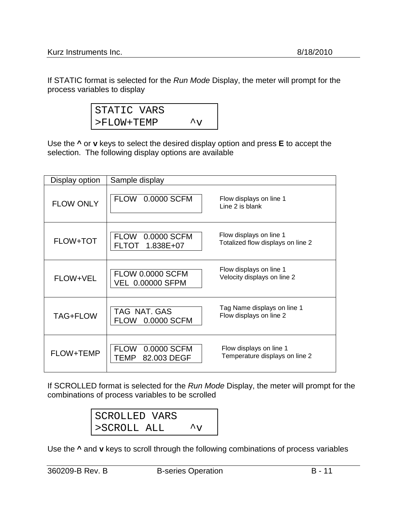If STATIC format is selected for the *Run Mode* Display, the meter will prompt for the process variables to display

| STATIC VARS   |                      |
|---------------|----------------------|
| $>$ FLOW+TEMP | $\mathcal{L}_{\tau}$ |

Use the **^** or **v** keys to select the desired display option and press **E** to accept the selection. The following display options are available

| Display option   | Sample display                                     |                                                              |
|------------------|----------------------------------------------------|--------------------------------------------------------------|
| <b>FLOW ONLY</b> | FLOW 0.0000 SCFM                                   | Flow displays on line 1<br>Line 2 is blank                   |
| <b>FLOW+TOT</b>  | FLOW 0.0000 SCFM<br>1.838E+07<br><b>FLTOT</b>      | Flow displays on line 1<br>Totalized flow displays on line 2 |
| FLOW+VEL         | <b>FLOW 0.0000 SCFM</b><br><b>VEL 0.00000 SFPM</b> | Flow displays on line 1<br>Velocity displays on line 2       |
| TAG+FLOW         | TAG NAT. GAS<br>0.0000 SCFM<br><b>FLOW</b>         | Tag Name displays on line 1<br>Flow displays on line 2       |
| FLOW+TEMP        | <b>FLOW</b><br>0.0000 SCFM<br>82,003 DEGF<br>TEMP  | Flow displays on line 1<br>Temperature displays on line 2    |

If SCROLLED format is selected for the *Run Mode* Display, the meter will prompt for the combinations of process variables to be scrolled

| SCROLLED VARS |                      |
|---------------|----------------------|
| >SCROLL ALL   | $\mathcal{L}_{\tau}$ |

Use the **^** and **v** keys to scroll through the following combinations of process variables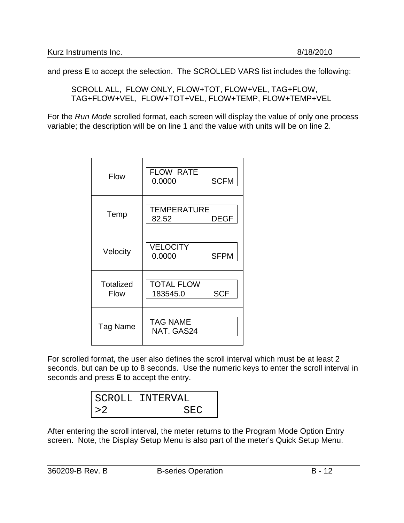and press **E** to accept the selection. The SCROLLED VARS list includes the following:

SCROLL ALL, FLOW ONLY, FLOW+TOT, FLOW+VEL, TAG+FLOW, TAG+FLOW+VEL, FLOW+TOT+VEL, FLOW+TEMP, FLOW+TEMP+VEL

For the *Run Mode* scrolled format, each screen will display the value of only one process variable; the description will be on line 1 and the value with units will be on line 2.

| <b>Flow</b>                     | <b>FLOW RATE</b><br><b>SCFM</b><br>0.0000   |
|---------------------------------|---------------------------------------------|
| Temp                            | TEMPERATURE<br>82.52<br>DEGF                |
| Velocity                        | <b>VELOCITY</b><br><b>SFPM</b><br>0.0000    |
| <b>Totalized</b><br><b>Flow</b> | <b>TOTAL FLOW</b><br><b>SCF</b><br>183545.0 |
| Tag Name                        | <b>TAG NAME</b><br>NAT. GAS24               |

For scrolled format, the user also defines the scroll interval which must be at least 2 seconds, but can be up to 8 seconds. Use the numeric keys to enter the scroll interval in seconds and press **E** to accept the entry.

|    | SCROLL INTERVAL |
|----|-----------------|
| >2 | <b>SEC</b>      |

After entering the scroll interval, the meter returns to the Program Mode Option Entry screen. Note, the Display Setup Menu is also part of the meter's Quick Setup Menu.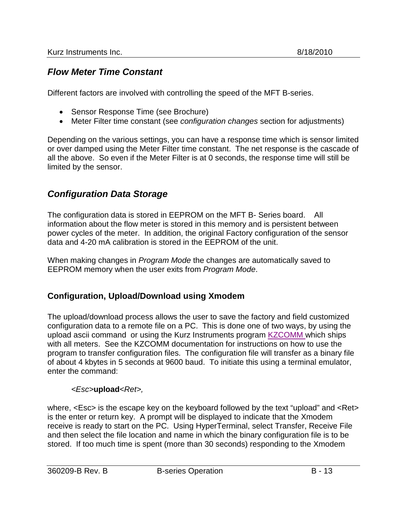### *Flow Meter Time Constant*

Different factors are involved with controlling the speed of the MFT B-series.

- Sensor Response Time (see Brochure)
- Meter Filter time constant (see *configuration changes* section for adjustments)

Depending on the various settings, you can have a response time which is sensor limited or over damped using the Meter Filter time constant. The net response is the cascade of all the above. So even if the Meter Filter is at 0 seconds, the response time will still be limited by the sensor.

### *Configuration Data Storage*

The configuration data is stored in EEPROM on the MFT B- Series board. All information about the flow meter is stored in this memory and is persistent between power cycles of the meter. In addition, the original Factory configuration of the sensor data and 4-20 mA calibration is stored in the EEPROM of the unit.

When making changes in *Program Mode* the changes are automatically saved to EEPROM memory when the user exits from *Program Mode*.

#### **Configuration, Upload/Download using Xmodem**

The upload/download process allows the user to save the factory and field customized configuration data to a remote file on a PC. This is done one of two ways, by using the upload ascii command or using the Kurz Instruments program KZCOMM which ships with all meters. See the KZCOMM documentation for instructions on how to use the program to transfer configuration files. The configuration file will transfer as a binary file of about 4 kbytes in 5 seconds at 9600 baud. To initiate this using a terminal emulator, enter the command:

#### *<Esc>***upload***<Ret>,*

where, <Esc> is the escape key on the keyboard followed by the text "upload" and <Ret> is the enter or return key. A prompt will be displayed to indicate that the Xmodem receive is ready to start on the PC. Using HyperTerminal, select Transfer, Receive File and then select the file location and name in which the binary configuration file is to be stored. If too much time is spent (more than 30 seconds) responding to the Xmodem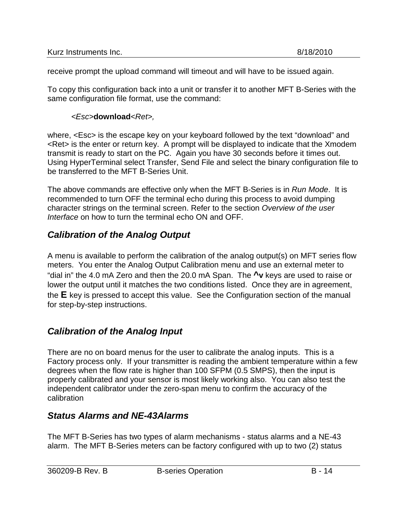| Kurz Instruments Inc. | 8/18/2010 |
|-----------------------|-----------|
|                       |           |

receive prompt the upload command will timeout and will have to be issued again.

To copy this configuration back into a unit or transfer it to another MFT B-Series with the same configuration file format, use the command:

#### *<Esc>***download***<Ret>,*

where, <Esc> is the escape key on your keyboard followed by the text "download" and <Ret> is the enter or return key. A prompt will be displayed to indicate that the Xmodem transmit is ready to start on the PC. Again you have 30 seconds before it times out. Using HyperTerminal select Transfer, Send File and select the binary configuration file to be transferred to the MFT B-Series Unit.

The above commands are effective only when the MFT B-Series is in *Run Mode*. It is recommended to turn OFF the terminal echo during this process to avoid dumping character strings on the terminal screen. Refer to the section *Overview of the user Interface* on how to turn the terminal echo ON and OFF.

# *Calibration of the Analog Output*

A menu is available to perform the calibration of the analog output(s) on MFT series flow meters. You enter the Analog Output Calibration menu and use an external meter to "dial in" the 4.0 mA Zero and then the 20.0 mA Span. The **^v** keys are used to raise or lower the output until it matches the two conditions listed. Once they are in agreement, the **E** key is pressed to accept this value. See the Configuration section of the manual for step-by-step instructions.

# *Calibration of the Analog Input*

There are no on board menus for the user to calibrate the analog inputs. This is a Factory process only. If your transmitter is reading the ambient temperature within a few degrees when the flow rate is higher than 100 SFPM (0.5 SMPS), then the input is properly calibrated and your sensor is most likely working also. You can also test the independent calibrator under the zero-span menu to confirm the accuracy of the calibration

### *Status Alarms and NE-43Alarms*

The MFT B-Series has two types of alarm mechanisms - status alarms and a NE-43 alarm. The MFT B-Series meters can be factory configured with up to two (2) status